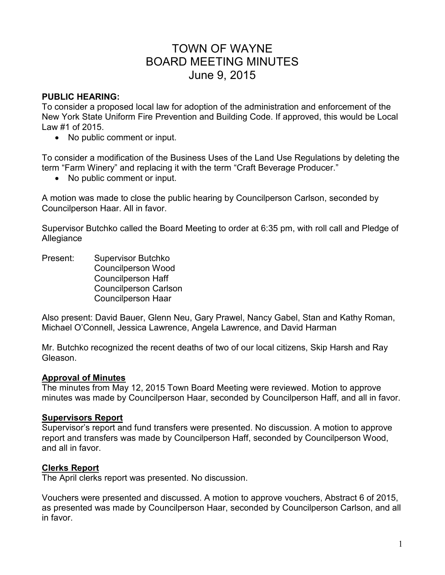# TOWN OF WAYNE BOARD MEETING MINUTES June 9, 2015

## **PUBLIC HEARING:**

To consider a proposed local law for adoption of the administration and enforcement of the New York State Uniform Fire Prevention and Building Code. If approved, this would be Local Law #1 of 2015.

• No public comment or input.

To consider a modification of the Business Uses of the Land Use Regulations by deleting the term "Farm Winery" and replacing it with the term "Craft Beverage Producer."

• No public comment or input.

A motion was made to close the public hearing by Councilperson Carlson, seconded by Councilperson Haar. All in favor.

Supervisor Butchko called the Board Meeting to order at 6:35 pm, with roll call and Pledge of Allegiance

Present: Supervisor Butchko Councilperson Wood Councilperson Haff Councilperson Carlson Councilperson Haar

Also present: David Bauer, Glenn Neu, Gary Prawel, Nancy Gabel, Stan and Kathy Roman, Michael O'Connell, Jessica Lawrence, Angela Lawrence, and David Harman

Mr. Butchko recognized the recent deaths of two of our local citizens, Skip Harsh and Ray Gleason.

# **Approval of Minutes**

The minutes from May 12, 2015 Town Board Meeting were reviewed. Motion to approve minutes was made by Councilperson Haar, seconded by Councilperson Haff, and all in favor.

# **Supervisors Report**

Supervisor's report and fund transfers were presented. No discussion. A motion to approve report and transfers was made by Councilperson Haff, seconded by Councilperson Wood, and all in favor.

#### **Clerks Report**

The April clerks report was presented. No discussion.

Vouchers were presented and discussed. A motion to approve vouchers, Abstract 6 of 2015, as presented was made by Councilperson Haar, seconded by Councilperson Carlson, and all in favor.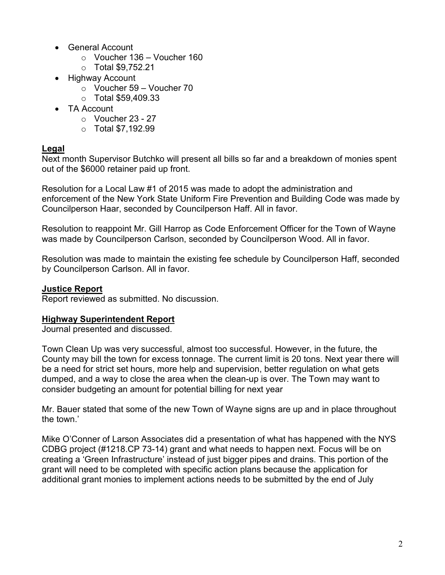- General Account
	- $\circ$  Voucher 136 Voucher 160
	- o Total \$9,752.21
- Highway Account
	- o Voucher 59 Voucher 70
	- $\circ$  Total \$59,409.33
- TA Account
	- $\circ$  Voucher 23 27
	- $\circ$  Total \$7,192.99

## **Legal**

Next month Supervisor Butchko will present all bills so far and a breakdown of monies spent out of the \$6000 retainer paid up front.

Resolution for a Local Law #1 of 2015 was made to adopt the administration and enforcement of the New York State Uniform Fire Prevention and Building Code was made by Councilperson Haar, seconded by Councilperson Haff. All in favor.

Resolution to reappoint Mr. Gill Harrop as Code Enforcement Officer for the Town of Wayne was made by Councilperson Carlson, seconded by Councilperson Wood. All in favor.

Resolution was made to maintain the existing fee schedule by Councilperson Haff, seconded by Councilperson Carlson. All in favor.

## **Justice Report**

Report reviewed as submitted. No discussion.

#### **Highway Superintendent Report**

Journal presented and discussed.

Town Clean Up was very successful, almost too successful. However, in the future, the County may bill the town for excess tonnage. The current limit is 20 tons. Next year there will be a need for strict set hours, more help and supervision, better regulation on what gets dumped, and a way to close the area when the clean-up is over. The Town may want to consider budgeting an amount for potential billing for next year

Mr. Bauer stated that some of the new Town of Wayne signs are up and in place throughout the town.'

Mike O'Conner of Larson Associates did a presentation of what has happened with the NYS CDBG project (#1218.CP 73-14) grant and what needs to happen next. Focus will be on creating a 'Green Infrastructure' instead of just bigger pipes and drains. This portion of the grant will need to be completed with specific action plans because the application for additional grant monies to implement actions needs to be submitted by the end of July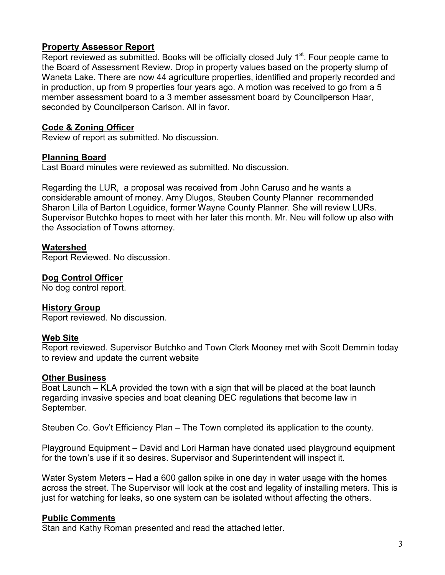# **Property Assessor Report**

Report reviewed as submitted. Books will be officially closed July 1<sup>st</sup>. Four people came to the Board of Assessment Review. Drop in property values based on the property slump of Waneta Lake. There are now 44 agriculture properties, identified and properly recorded and in production, up from 9 properties four years ago. A motion was received to go from a 5 member assessment board to a 3 member assessment board by Councilperson Haar, seconded by Councilperson Carlson. All in favor.

# **Code & Zoning Officer**

Review of report as submitted. No discussion.

## **Planning Board**

Last Board minutes were reviewed as submitted. No discussion.

Regarding the LUR, a proposal was received from John Caruso and he wants a considerable amount of money. Amy Dlugos, Steuben County Planner recommended Sharon Lilla of Barton Loguidice, former Wayne County Planner. She will review LURs. Supervisor Butchko hopes to meet with her later this month. Mr. Neu will follow up also with the Association of Towns attorney.

# **Watershed**

Report Reviewed. No discussion.

# **Dog Control Officer**

No dog control report.

#### **History Group**

Report reviewed. No discussion.

#### **Web Site**

Report reviewed. Supervisor Butchko and Town Clerk Mooney met with Scott Demmin today to review and update the current website

#### **Other Business**

Boat Launch – KLA provided the town with a sign that will be placed at the boat launch regarding invasive species and boat cleaning DEC regulations that become law in September.

Steuben Co. Gov't Efficiency Plan – The Town completed its application to the county.

Playground Equipment – David and Lori Harman have donated used playground equipment for the town's use if it so desires. Supervisor and Superintendent will inspect it.

Water System Meters – Had a 600 gallon spike in one day in water usage with the homes across the street. The Supervisor will look at the cost and legality of installing meters. This is just for watching for leaks, so one system can be isolated without affecting the others.

#### **Public Comments**

Stan and Kathy Roman presented and read the attached letter.